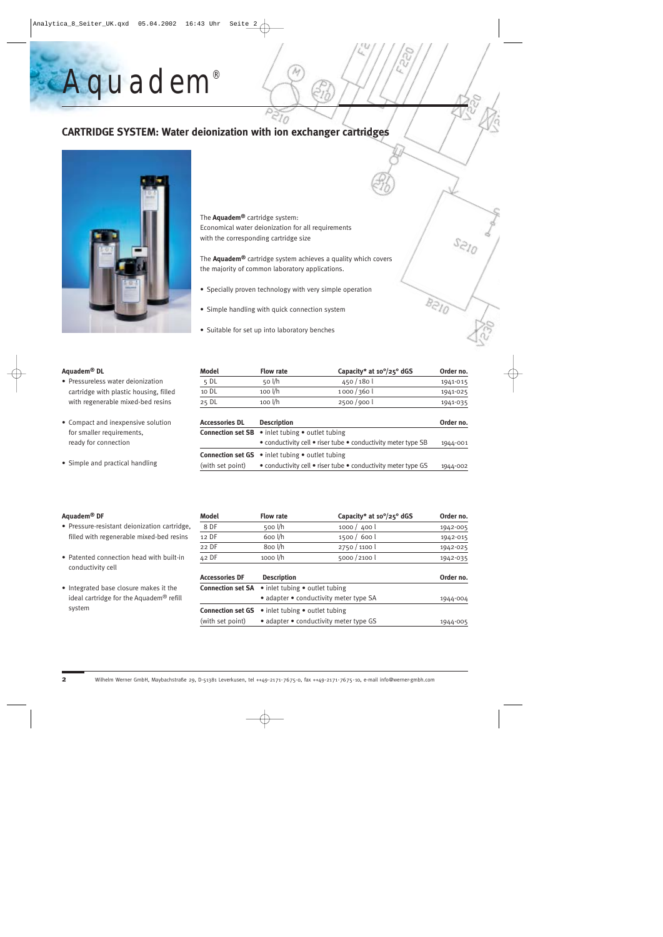# **CARTRIDGE SYSTEM: Water deionization with ion exchanger cartridges**



*Aquadem ®*

The **Aquadem®** cartridge system: Economical water deionization for all requirements with the corresponding cartridge size

The **Aquadem®** cartridge system achieves a quality which covers the majority of common laboratory applications.

- Specially proven technology with very simple operation
- Simple handling with quick connection system
- Suitable for set up into laboratory benches

#### **Aquadem® DL**

- Pressureless water deionization cartridge with plastic housing, filled with regenerable mixed-bed resins
- Compact and inexpensive solution for smaller requirements, ready for connection
- Simple and practical handling

| Model | <b>Flow rate</b>  | Capacity* at $10^{\circ}/25^{\circ}$ dGS | Order no. |
|-------|-------------------|------------------------------------------|-----------|
| 5 DL  | $50$ l/h          | 450/180                                  | 1941-015  |
| 10 DL | $100 \frac{1}{h}$ | 1000/360                                 | 1941-025  |
| 25 DL | 100 l/h           | 2500/9001                                | 1941-035  |
|       |                   |                                          |           |

| Accessories DL                                                                    | <b>Description</b>                                                      | Order no. |  |
|-----------------------------------------------------------------------------------|-------------------------------------------------------------------------|-----------|--|
|                                                                                   | <b>Connection set SB</b> $\bullet$ inlet tubing $\bullet$ outlet tubing |           |  |
|                                                                                   | • conductivity cell • riser tube • conductivity meter type SB           | 1944-001  |  |
|                                                                                   | <b>Connection set GS</b> $\bullet$ inlet tubing $\bullet$ outlet tubing |           |  |
| • conductivity cell • riser tube • conductivity meter type GS<br>(with set point) |                                                                         | 1944-002  |  |

### **Aquadem® DF**

- Pressure-resistant deionization cartridge, filled with regenerable mixed-bed resins
- Patented connection head with built-in conductivity cell
- Integrated base closure makes it the ideal cartridge for the Aquadem® refill system

| Model | <b>Flow rate</b> | Capacity* at $10^{\circ}/25^{\circ}$ dGS | Order no. |
|-------|------------------|------------------------------------------|-----------|
| 8 DF  | 500 $1/h$        | 1000 / 400                               | 1942-005  |
| 12 DF | 600 l/h          | 1500 / 600                               | 1942-015  |
| 22 DF | 8oo l/h          | 2750/1100                                | 1942-025  |
| 42 DF | $1000$ $1/h$     | 5000 / 2100                              | 1942-035  |

| <b>Accessories DF</b> | <b>Description</b>                                                      | Order no. |  |
|-----------------------|-------------------------------------------------------------------------|-----------|--|
|                       | <b>Connection set SA</b> $\bullet$ inlet tubing $\bullet$ outlet tubing |           |  |
|                       | • adapter • conductivity meter type SA                                  | 1944-004  |  |
|                       | <b>Connection set GS</b> $\bullet$ inlet tubing $\bullet$ outlet tubing |           |  |
| (with set point)      | • adapter • conductivity meter type GS                                  | 1944-005  |  |